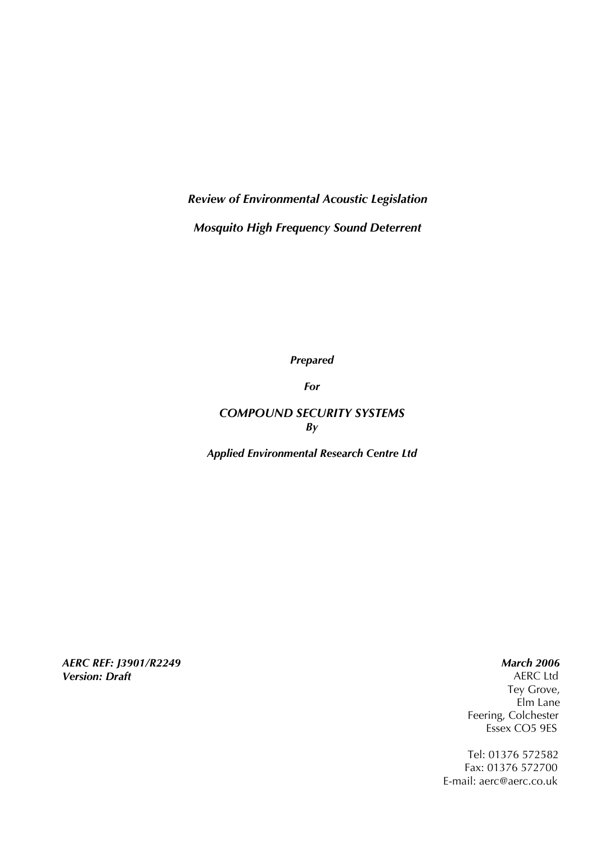*Review of Environmental Acoustic Legislation Mosquito High Frequency Sound Deterrent* 

*Prepared* 

*For* 

# *COMPOUND SECURITY SYSTEMS By*

*Applied Environmental Research Centre Ltd* 

*AERC REF: J3901/R2249 Version: Draft*

 *March 2006* 

 AERC Ltd Tey Grove, Elm Lane Feering, Colchester Essex CO5 9ES

 Tel: 01376 572582 Fax: 01376 572700 E-mail: aerc@aerc.co.uk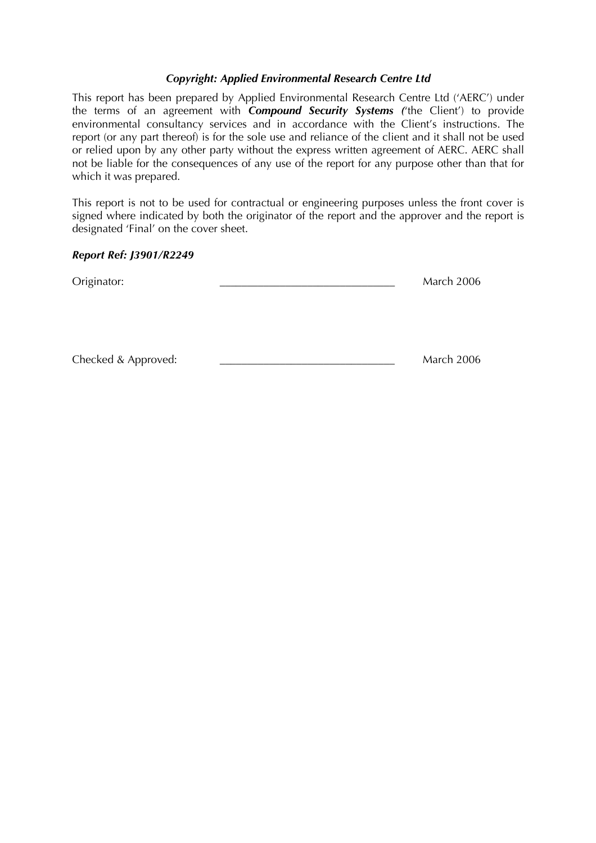#### *Copyright: Applied Environmental Research Centre Ltd*

This report has been prepared by Applied Environmental Research Centre Ltd ('AERC') under the terms of an agreement with *Compound Security Systems (*'the Client') to provide environmental consultancy services and in accordance with the Client's instructions. The report (or any part thereof) is for the sole use and reliance of the client and it shall not be used or relied upon by any other party without the express written agreement of AERC. AERC shall not be liable for the consequences of any use of the report for any purpose other than that for which it was prepared.

This report is not to be used for contractual or engineering purposes unless the front cover is signed where indicated by both the originator of the report and the approver and the report is designated 'Final' on the cover sheet.

#### *Report Ref: J3901/R2249*

| Originator:         | <b>March 2006</b> |                   |
|---------------------|-------------------|-------------------|
|                     |                   |                   |
|                     |                   |                   |
|                     |                   |                   |
| Checked & Approved: |                   | <b>March 2006</b> |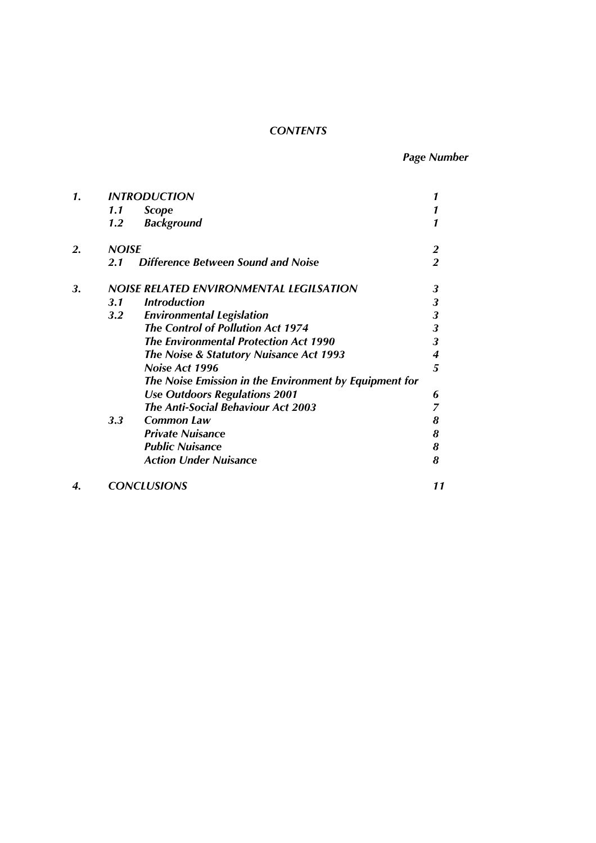# *CONTENTS*

*Page Number* 

| 1. | <b>INTRODUCTION</b> |                                                        |                         |
|----|---------------------|--------------------------------------------------------|-------------------------|
|    | 1.1                 | <b>Scope</b>                                           |                         |
|    | 1.2                 | <b>Background</b>                                      |                         |
| 2. | <b>NOISE</b>        |                                                        | $\overline{2}$          |
|    | 2.1                 | Difference Between Sound and Noise                     | $\overline{2}$          |
| 3. |                     | NOISE RELATED ENVIRONMENTAL LEGILSATION                | 3                       |
|    | 3.1                 | <b>Introduction</b>                                    | $\mathbf{3}$            |
|    | $3.2\,$             | <b>Environmental Legislation</b>                       | $\mathbf{3}$            |
|    |                     | <b>The Control of Pollution Act 1974</b>               | $\mathbf{3}$            |
|    |                     | <b>The Environmental Protection Act 1990</b>           | $\overline{\mathbf{3}}$ |
|    |                     | The Noise & Statutory Nuisance Act 1993                | 4                       |
|    |                     | Noise Act 1996                                         | 5                       |
|    |                     | The Noise Emission in the Environment by Equipment for |                         |
|    |                     | <b>Use Outdoors Regulations 2001</b>                   | 6                       |
|    |                     | <b>The Anti-Social Behaviour Act 2003</b>              | 7                       |
|    | 3.3                 | <b>Common Law</b>                                      | 8                       |
|    |                     | <b>Private Nuisance</b>                                | 8                       |
|    |                     | <b>Public Nuisance</b>                                 | 8                       |
|    |                     | <b>Action Under Nuisance</b>                           | 8                       |
| 4. | <b>CONCLUSIONS</b>  |                                                        | 11                      |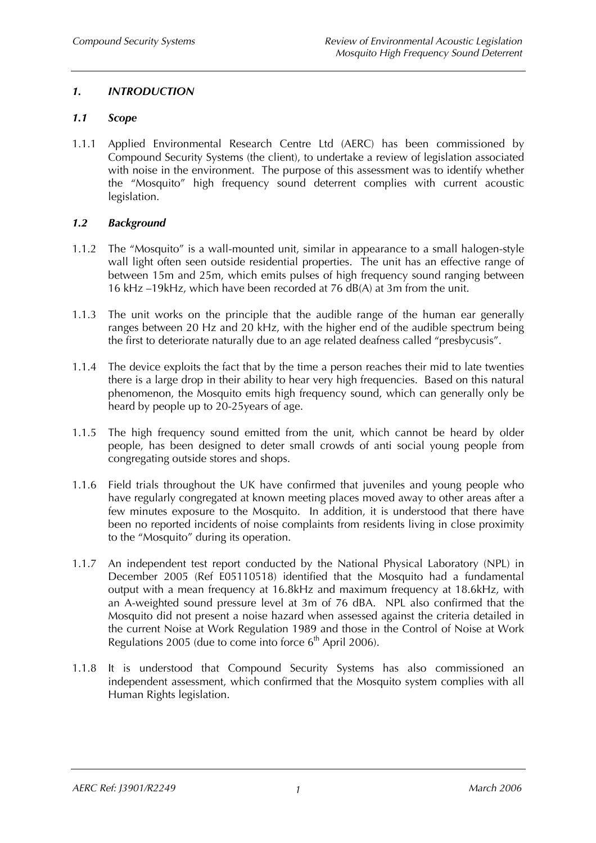# *1. INTRODUCTION*

### *1.1 Scope*

1.1.1 Applied Environmental Research Centre Ltd (AERC) has been commissioned by Compound Security Systems (the client), to undertake a review of legislation associated with noise in the environment. The purpose of this assessment was to identify whether the "Mosquito" high frequency sound deterrent complies with current acoustic legislation.

# *1.2 Background*

- 1.1.2 The "Mosquito" is a wall-mounted unit, similar in appearance to a small halogen-style wall light often seen outside residential properties. The unit has an effective range of between 15m and 25m, which emits pulses of high frequency sound ranging between 16 kHz –19kHz, which have been recorded at 76 dB(A) at 3m from the unit.
- 1.1.3 The unit works on the principle that the audible range of the human ear generally ranges between 20 Hz and 20 kHz, with the higher end of the audible spectrum being the first to deteriorate naturally due to an age related deafness called "presbycusis".
- 1.1.4 The device exploits the fact that by the time a person reaches their mid to late twenties there is a large drop in their ability to hear very high frequencies. Based on this natural phenomenon, the Mosquito emits high frequency sound, which can generally only be heard by people up to 20-25years of age.
- 1.1.5 The high frequency sound emitted from the unit, which cannot be heard by older people, has been designed to deter small crowds of anti social young people from congregating outside stores and shops.
- 1.1.6 Field trials throughout the UK have confirmed that juveniles and young people who have regularly congregated at known meeting places moved away to other areas after a few minutes exposure to the Mosquito. In addition, it is understood that there have been no reported incidents of noise complaints from residents living in close proximity to the "Mosquito" during its operation.
- 1.1.7 An independent test report conducted by the National Physical Laboratory (NPL) in December 2005 (Ref E05110518) identified that the Mosquito had a fundamental output with a mean frequency at 16.8kHz and maximum frequency at 18.6kHz, with an A-weighted sound pressure level at 3m of 76 dBA. NPL also confirmed that the Mosquito did not present a noise hazard when assessed against the criteria detailed in the current Noise at Work Regulation 1989 and those in the Control of Noise at Work Regulations 2005 (due to come into force  $6<sup>th</sup>$  April 2006).
- 1.1.8 It is understood that Compound Security Systems has also commissioned an independent assessment, which confirmed that the Mosquito system complies with all Human Rights legislation.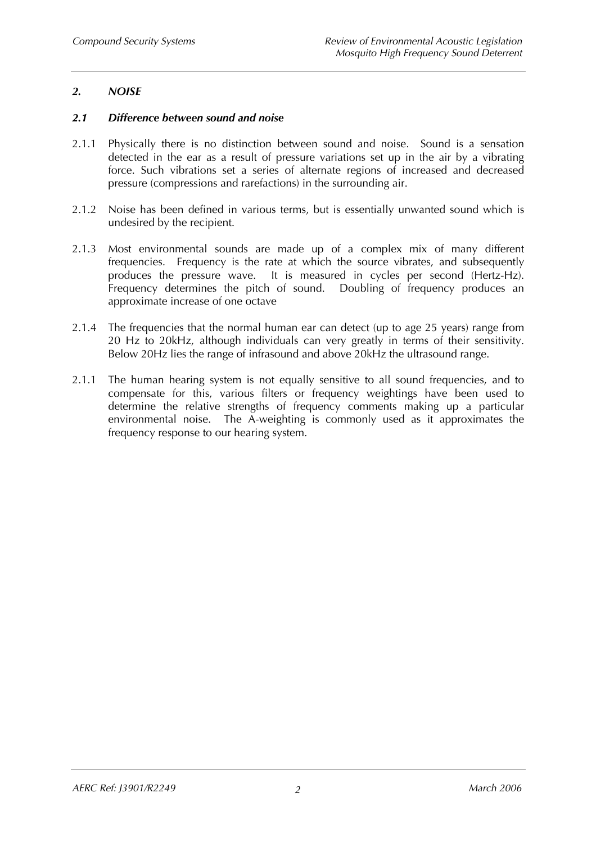### *2. NOISE*

#### *2.1 Difference between sound and noise*

- 2.1.1 Physically there is no distinction between sound and noise. Sound is a sensation detected in the ear as a result of pressure variations set up in the air by a vibrating force. Such vibrations set a series of alternate regions of increased and decreased pressure (compressions and rarefactions) in the surrounding air.
- 2.1.2 Noise has been defined in various terms, but is essentially unwanted sound which is undesired by the recipient.
- 2.1.3 Most environmental sounds are made up of a complex mix of many different frequencies. Frequency is the rate at which the source vibrates, and subsequently produces the pressure wave. It is measured in cycles per second (Hertz-Hz). Frequency determines the pitch of sound. Doubling of frequency produces an approximate increase of one octave
- 2.1.4 The frequencies that the normal human ear can detect (up to age 25 years) range from 20 Hz to 20kHz, although individuals can very greatly in terms of their sensitivity. Below 20Hz lies the range of infrasound and above 20kHz the ultrasound range.
- 2.1.1 The human hearing system is not equally sensitive to all sound frequencies, and to compensate for this, various filters or frequency weightings have been used to determine the relative strengths of frequency comments making up a particular environmental noise. The A-weighting is commonly used as it approximates the frequency response to our hearing system.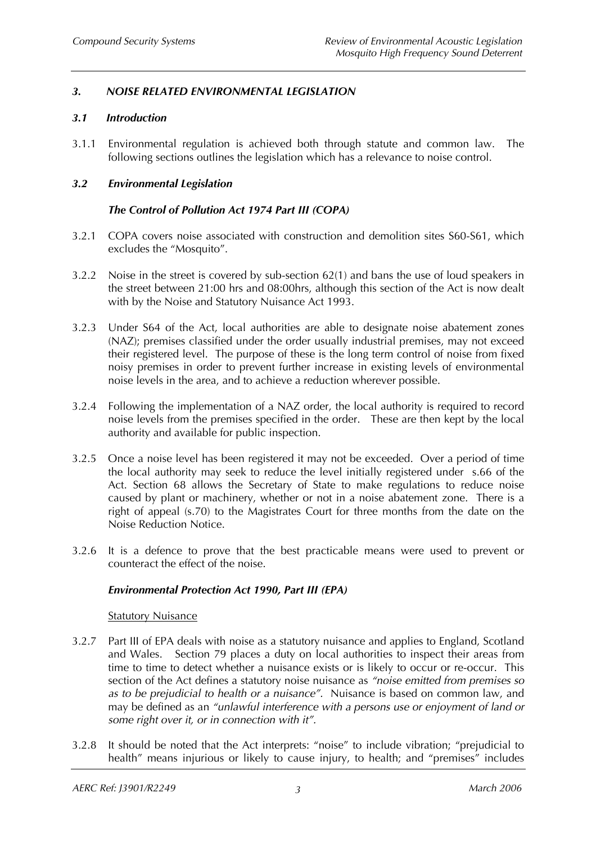# *3. NOISE RELATED ENVIRONMENTAL LEGISLATION*

#### *3.1 Introduction*

3.1.1 Environmental regulation is achieved both through statute and common law. The following sections outlines the legislation which has a relevance to noise control.

#### *3.2 Environmental Legislation*

### *The Control of Pollution Act 1974 Part III (COPA)*

- 3.2.1 COPA covers noise associated with construction and demolition sites S60-S61, which excludes the "Mosquito".
- 3.2.2 Noise in the street is covered by sub-section 62(1) and bans the use of loud speakers in the street between 21:00 hrs and 08:00hrs, although this section of the Act is now dealt with by the Noise and Statutory Nuisance Act 1993.
- 3.2.3 Under S64 of the Act, local authorities are able to designate noise abatement zones (NAZ); premises classified under the order usually industrial premises, may not exceed their registered level. The purpose of these is the long term control of noise from fixed noisy premises in order to prevent further increase in existing levels of environmental noise levels in the area, and to achieve a reduction wherever possible.
- 3.2.4 Following the implementation of a NAZ order, the local authority is required to record noise levels from the premises specified in the order. These are then kept by the local authority and available for public inspection.
- 3.2.5 Once a noise level has been registered it may not be exceeded. Over a period of time the local authority may seek to reduce the level initially registered under s.66 of the Act. Section 68 allows the Secretary of State to make regulations to reduce noise caused by plant or machinery, whether or not in a noise abatement zone. There is a right of appeal (s.70) to the Magistrates Court for three months from the date on the Noise Reduction Notice.
- 3.2.6 It is a defence to prove that the best practicable means were used to prevent or counteract the effect of the noise.

#### *Environmental Protection Act 1990, Part III (EPA)*

#### **Statutory Nuisance**

- 3.2.7 Part III of EPA deals with noise as a statutory nuisance and applies to England, Scotland and Wales. Section 79 places a duty on local authorities to inspect their areas from time to time to detect whether a nuisance exists or is likely to occur or re-occur. This section of the Act defines a statutory noise nuisance as *"noise emitted from premises so as to be prejudicial to health or a nuisance".* Nuisance is based on common law, and may be defined as an *"unlawful interference with a persons use or enjoyment of land or some right over it, or in connection with it".*
- 3.2.8 It should be noted that the Act interprets: "noise" to include vibration; "prejudicial to health" means injurious or likely to cause injury, to health; and "premises" includes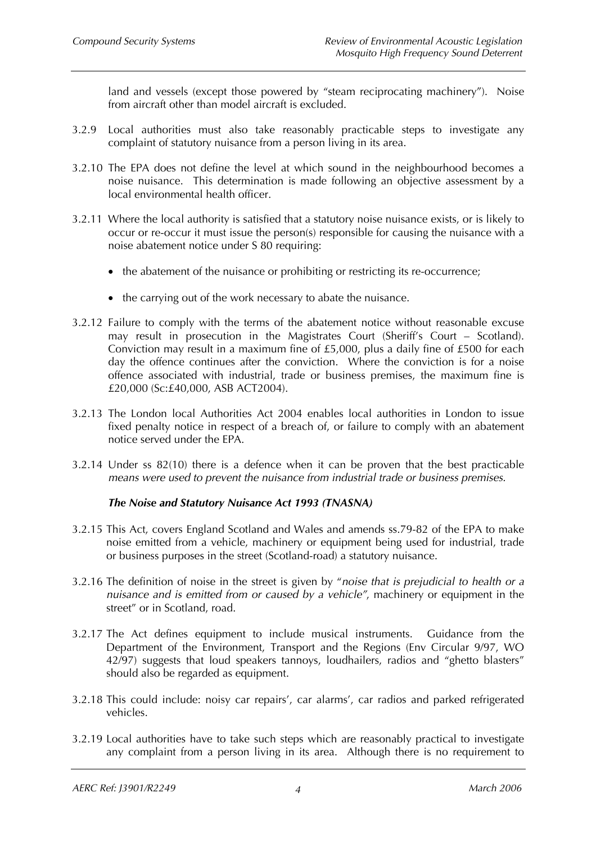land and vessels (except those powered by "steam reciprocating machinery"). Noise from aircraft other than model aircraft is excluded.

- 3.2.9 Local authorities must also take reasonably practicable steps to investigate any complaint of statutory nuisance from a person living in its area.
- 3.2.10 The EPA does not define the level at which sound in the neighbourhood becomes a noise nuisance. This determination is made following an objective assessment by a local environmental health officer.
- 3.2.11 Where the local authority is satisfied that a statutory noise nuisance exists, or is likely to occur or re-occur it must issue the person(s) responsible for causing the nuisance with a noise abatement notice under S 80 requiring:
	- the abatement of the nuisance or prohibiting or restricting its re-occurrence;
	- the carrying out of the work necessary to abate the nuisance.
- 3.2.12 Failure to comply with the terms of the abatement notice without reasonable excuse may result in prosecution in the Magistrates Court (Sheriff's Court – Scotland). Conviction may result in a maximum fine of £5,000, plus a daily fine of £500 for each day the offence continues after the conviction. Where the conviction is for a noise offence associated with industrial, trade or business premises, the maximum fine is £20,000 (Sc:£40,000, ASB ACT2004).
- 3.2.13 The London local Authorities Act 2004 enables local authorities in London to issue fixed penalty notice in respect of a breach of, or failure to comply with an abatement notice served under the EPA.
- 3.2.14 Under ss 82(10) there is a defence when it can be proven that the best practicable *means were used to prevent the nuisance from industrial trade or business premises.*

#### *The Noise and Statutory Nuisance Act 1993 (TNASNA)*

- 3.2.15 This Act, covers England Scotland and Wales and amends ss.79-82 of the EPA to make noise emitted from a vehicle, machinery or equipment being used for industrial, trade or business purposes in the street (Scotland-road) a statutory nuisance.
- 3.2.16 The definition of noise in the street is given by "*noise that is prejudicial to health or a nuisance and is emitted from or caused by a vehicle"*, machinery or equipment in the street" or in Scotland, road.
- 3.2.17 The Act defines equipment to include musical instruments. Guidance from the Department of the Environment, Transport and the Regions (Env Circular 9/97, WO 42/97) suggests that loud speakers tannoys, loudhailers, radios and "ghetto blasters" should also be regarded as equipment.
- 3.2.18 This could include: noisy car repairs', car alarms', car radios and parked refrigerated vehicles.
- 3.2.19 Local authorities have to take such steps which are reasonably practical to investigate any complaint from a person living in its area. Although there is no requirement to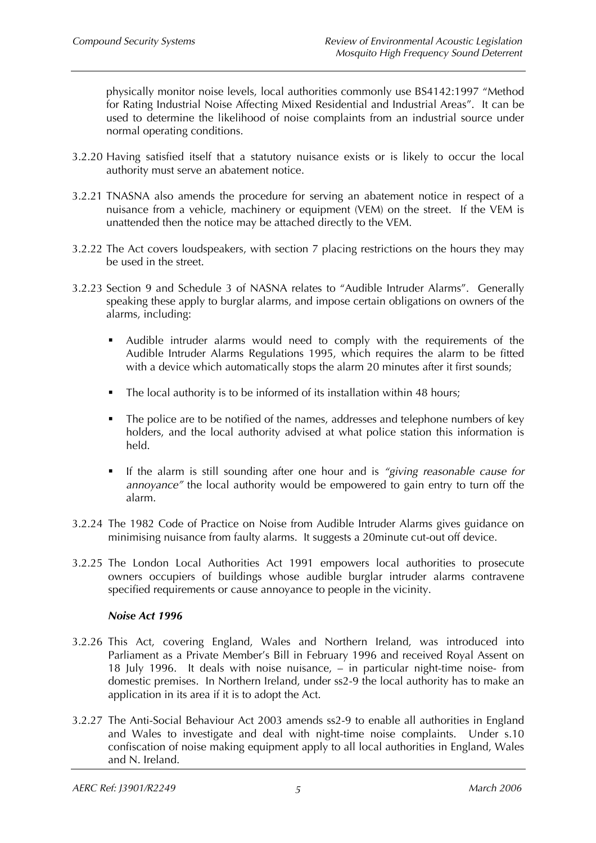physically monitor noise levels, local authorities commonly use BS4142:1997 "Method for Rating Industrial Noise Affecting Mixed Residential and Industrial Areas". It can be used to determine the likelihood of noise complaints from an industrial source under normal operating conditions.

- 3.2.20 Having satisfied itself that a statutory nuisance exists or is likely to occur the local authority must serve an abatement notice.
- 3.2.21 TNASNA also amends the procedure for serving an abatement notice in respect of a nuisance from a vehicle, machinery or equipment (VEM) on the street. If the VEM is unattended then the notice may be attached directly to the VEM.
- 3.2.22 The Act covers loudspeakers, with section 7 placing restrictions on the hours they may be used in the street.
- 3.2.23 Section 9 and Schedule 3 of NASNA relates to "Audible Intruder Alarms". Generally speaking these apply to burglar alarms, and impose certain obligations on owners of the alarms, including:
	- Audible intruder alarms would need to comply with the requirements of the Audible Intruder Alarms Regulations 1995, which requires the alarm to be fitted with a device which automatically stops the alarm 20 minutes after it first sounds;
	- The local authority is to be informed of its installation within 48 hours;
	- The police are to be notified of the names, addresses and telephone numbers of key holders, and the local authority advised at what police station this information is held.
	- If the alarm is still sounding after one hour and is *"giving reasonable cause for annoyance"* the local authority would be empowered to gain entry to turn off the alarm.
- 3.2.24 The 1982 Code of Practice on Noise from Audible Intruder Alarms gives guidance on minimising nuisance from faulty alarms. It suggests a 20minute cut-out off device.
- 3.2.25 The London Local Authorities Act 1991 empowers local authorities to prosecute owners occupiers of buildings whose audible burglar intruder alarms contravene specified requirements or cause annoyance to people in the vicinity.

#### *Noise Act 1996*

- 3.2.26 This Act, covering England, Wales and Northern Ireland, was introduced into Parliament as a Private Member's Bill in February 1996 and received Royal Assent on 18 July 1996. It deals with noise nuisance, – in particular night-time noise- from domestic premises. In Northern Ireland, under ss2-9 the local authority has to make an application in its area if it is to adopt the Act.
- 3.2.27 The Anti-Social Behaviour Act 2003 amends ss2-9 to enable all authorities in England and Wales to investigate and deal with night-time noise complaints. Under s.10 confiscation of noise making equipment apply to all local authorities in England, Wales and N. Ireland.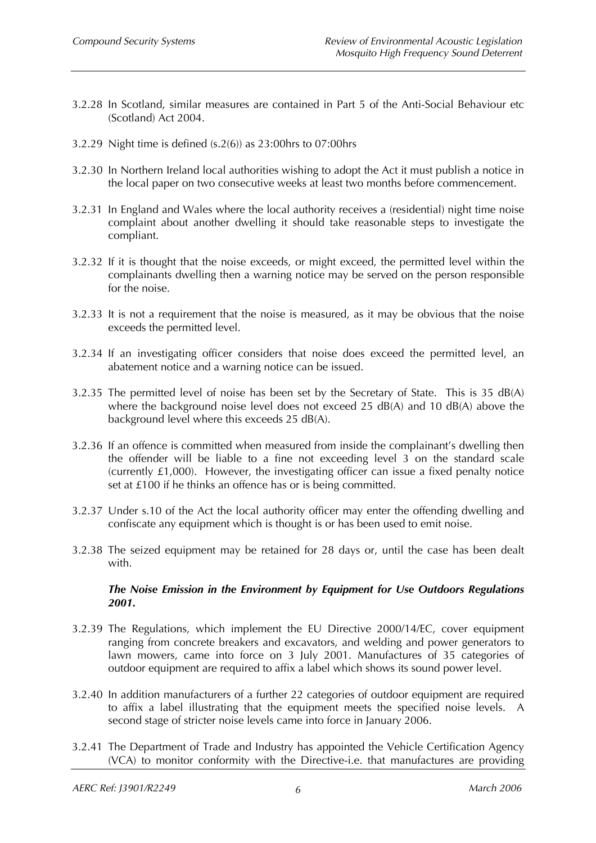- 3.2.28 In Scotland, similar measures are contained in Part 5 of the Anti-Social Behaviour etc (Scotland) Act 2004.
- 3.2.29 Night time is defined (s.2(6)) as 23:00hrs to 07:00hrs
- 3.2.30 In Northern Ireland local authorities wishing to adopt the Act it must publish a notice in the local paper on two consecutive weeks at least two months before commencement.
- 3.2.31 In England and Wales where the local authority receives a (residential) night time noise complaint about another dwelling it should take reasonable steps to investigate the compliant.
- 3.2.32 If it is thought that the noise exceeds, or might exceed, the permitted level within the complainants dwelling then a warning notice may be served on the person responsible for the noise.
- 3.2.33 It is not a requirement that the noise is measured, as it may be obvious that the noise exceeds the permitted level.
- 3.2.34 If an investigating officer considers that noise does exceed the permitted level, an abatement notice and a warning notice can be issued.
- 3.2.35 The permitted level of noise has been set by the Secretary of State. This is 35 dB(A) where the background noise level does not exceed 25 dB(A) and 10 dB(A) above the background level where this exceeds 25 dB(A).
- 3.2.36 If an offence is committed when measured from inside the complainant's dwelling then the offender will be liable to a fine not exceeding level 3 on the standard scale (currently £1,000). However, the investigating officer can issue a fixed penalty notice set at £100 if he thinks an offence has or is being committed.
- 3.2.37 Under s.10 of the Act the local authority officer may enter the offending dwelling and confiscate any equipment which is thought is or has been used to emit noise.
- 3.2.38 The seized equipment may be retained for 28 days or, until the case has been dealt with.

#### *The Noise Emission in the Environment by Equipment for Use Outdoors Regulations 2001.*

- 3.2.39 The Regulations, which implement the EU Directive 2000/14/EC, cover equipment ranging from concrete breakers and excavators, and welding and power generators to lawn mowers, came into force on 3 July 2001. Manufactures of 35 categories of outdoor equipment are required to affix a label which shows its sound power level.
- 3.2.40 In addition manufacturers of a further 22 categories of outdoor equipment are required to affix a label illustrating that the equipment meets the specified noise levels. A second stage of stricter noise levels came into force in January 2006.
- 3.2.41 The Department of Trade and Industry has appointed the Vehicle Certification Agency (VCA) to monitor conformity with the Directive-i.e. that manufactures are providing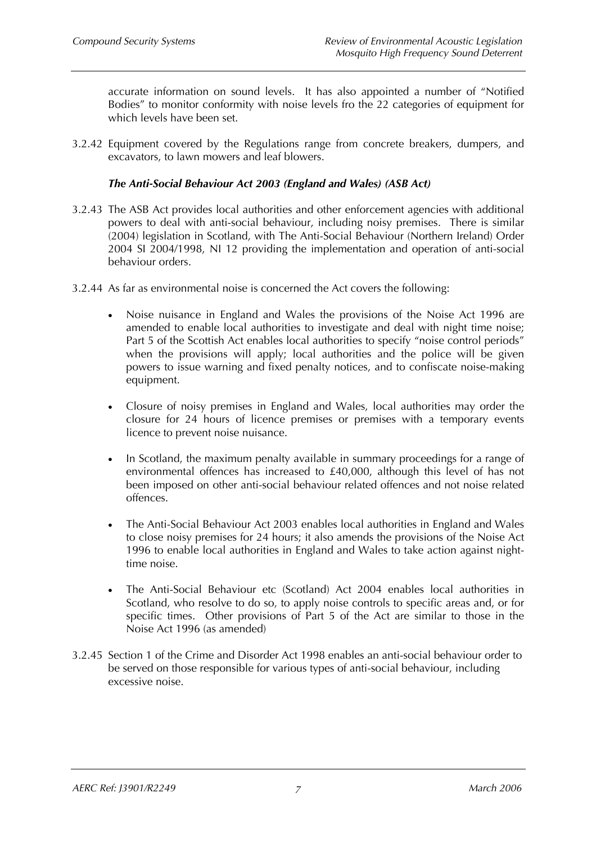accurate information on sound levels. It has also appointed a number of "Notified Bodies" to monitor conformity with noise levels fro the 22 categories of equipment for which levels have been set.

3.2.42 Equipment covered by the Regulations range from concrete breakers, dumpers, and excavators, to lawn mowers and leaf blowers.

### *The Anti-Social Behaviour Act 2003 (England and Wales) (ASB Act)*

- 3.2.43 The ASB Act provides local authorities and other enforcement agencies with additional powers to deal with anti-social behaviour, including noisy premises. There is similar (2004) legislation in Scotland, with The Anti-Social Behaviour (Northern Ireland) Order 2004 SI 2004/1998, NI 12 providing the implementation and operation of anti-social behaviour orders.
- 3.2.44 As far as environmental noise is concerned the Act covers the following:
	- Noise nuisance in England and Wales the provisions of the Noise Act 1996 are amended to enable local authorities to investigate and deal with night time noise; Part 5 of the Scottish Act enables local authorities to specify "noise control periods" when the provisions will apply; local authorities and the police will be given powers to issue warning and fixed penalty notices, and to confiscate noise-making equipment.
	- Closure of noisy premises in England and Wales, local authorities may order the closure for 24 hours of licence premises or premises with a temporary events licence to prevent noise nuisance.
	- In Scotland, the maximum penalty available in summary proceedings for a range of environmental offences has increased to £40,000, although this level of has not been imposed on other anti-social behaviour related offences and not noise related offences.
	- The Anti-Social Behaviour Act 2003 enables local authorities in England and Wales to close noisy premises for 24 hours; it also amends the provisions of the Noise Act 1996 to enable local authorities in England and Wales to take action against nighttime noise.
	- The Anti-Social Behaviour etc (Scotland) Act 2004 enables local authorities in Scotland, who resolve to do so, to apply noise controls to specific areas and, or for specific times. Other provisions of Part 5 of the Act are similar to those in the Noise Act 1996 (as amended)
- 3.2.45 Section 1 of the Crime and Disorder Act 1998 enables an anti-social behaviour order to be served on those responsible for various types of anti-social behaviour, including excessive noise.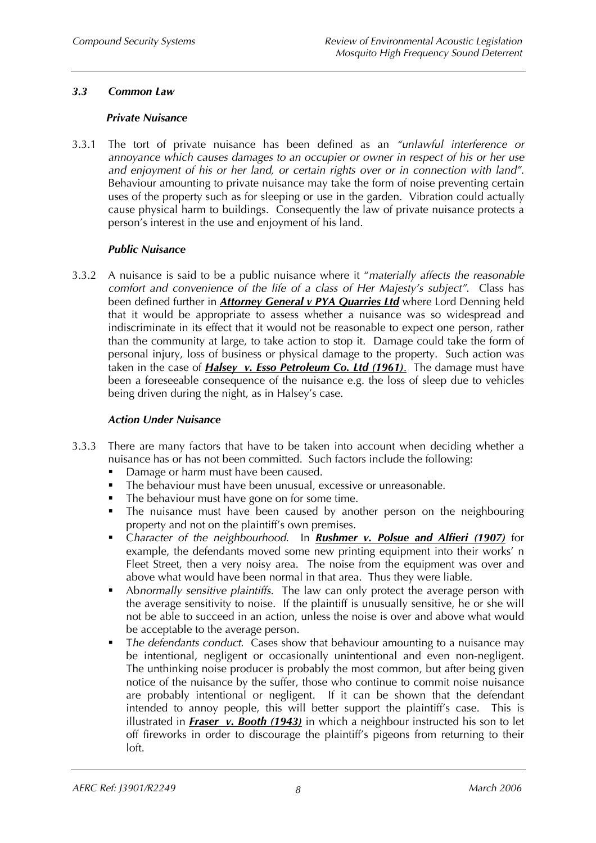# *3.3 Common Law*

#### *Private Nuisance*

3.3.1 The tort of private nuisance has been defined as an *"unlawful interference or annoyance which causes damages to an occupier or owner in respect of his or her use and enjoyment of his or her land, or certain rights over or in connection with land"*. Behaviour amounting to private nuisance may take the form of noise preventing certain uses of the property such as for sleeping or use in the garden. Vibration could actually cause physical harm to buildings. Consequently the law of private nuisance protects a person's interest in the use and enjoyment of his land.

### *Public Nuisance*

3.3.2 A nuisance is said to be a public nuisance where it "*materially affects the reasonable comfort and convenience of the life of a class of Her Majesty's subject"*. Class has been defined further in *Attorney General v PYA Quarries Ltd* where Lord Denning held that it would be appropriate to assess whether a nuisance was so widespread and indiscriminate in its effect that it would not be reasonable to expect one person, rather than the community at large, to take action to stop it. Damage could take the form of personal injury, loss of business or physical damage to the property. Such action was taken in the case of *Halsey v. Esso Petroleum Co. Ltd (1961)*. The damage must have been a foreseeable consequence of the nuisance e.g. the loss of sleep due to vehicles being driven during the night, as in Halsey's case.

### *Action Under Nuisance*

- 3.3.3 There are many factors that have to be taken into account when deciding whether a nuisance has or has not been committed. Such factors include the following:
	- Damage or harm must have been caused.
	- The behaviour must have been unusual, excessive or unreasonable.
	- The behaviour must have gone on for some time.
	- The nuisance must have been caused by another person on the neighbouring property and not on the plaintiff's own premises.
	- C*haracter of the neighbourhood*. In *Rushmer v. Polsue and Alfieri (1907)* for example, the defendants moved some new printing equipment into their works' n Fleet Street, then a very noisy area. The noise from the equipment was over and above what would have been normal in that area. Thus they were liable.
	- Ab*normally sensitive plaintiffs*. The law can only protect the average person with the average sensitivity to noise. If the plaintiff is unusually sensitive, he or she will not be able to succeed in an action, unless the noise is over and above what would be acceptable to the average person.
	- T*he defendants conduct*. Cases show that behaviour amounting to a nuisance may be intentional, negligent or occasionally unintentional and even non-negligent. The unthinking noise producer is probably the most common, but after being given notice of the nuisance by the suffer, those who continue to commit noise nuisance are probably intentional or negligent. If it can be shown that the defendant intended to annoy people, this will better support the plaintiff's case. This is illustrated in *Fraser v. Booth (1943)* in which a neighbour instructed his son to let off fireworks in order to discourage the plaintiff's pigeons from returning to their loft.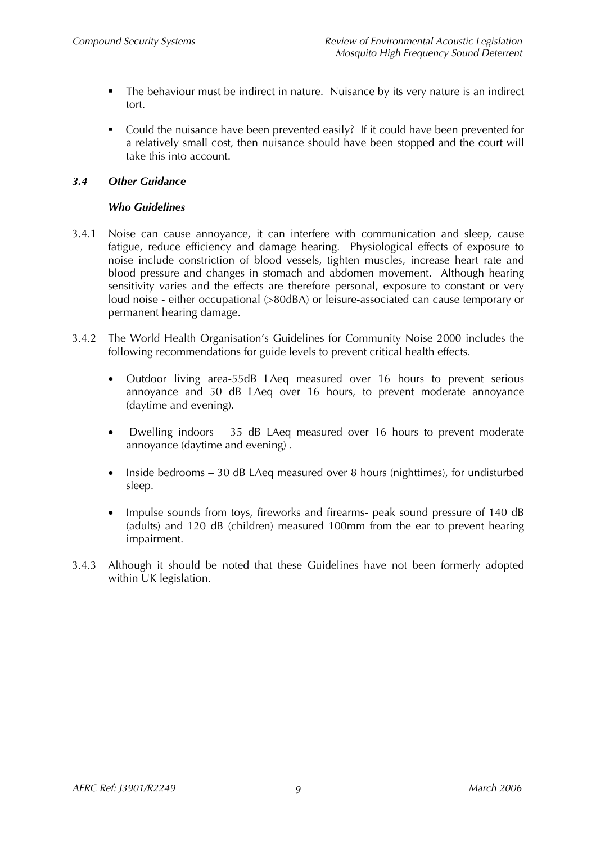- The behaviour must be indirect in nature. Nuisance by its very nature is an indirect tort.
- Could the nuisance have been prevented easily? If it could have been prevented for a relatively small cost, then nuisance should have been stopped and the court will take this into account.

# *3.4 Other Guidance*

### *Who Guidelines*

- 3.4.1 Noise can cause annoyance, it can interfere with communication and sleep, cause fatigue, reduce efficiency and damage hearing. Physiological effects of exposure to noise include constriction of blood vessels, tighten muscles, increase heart rate and blood pressure and changes in stomach and abdomen movement. Although hearing sensitivity varies and the effects are therefore personal, exposure to constant or very loud noise - either occupational (>80dBA) or leisure-associated can cause temporary or permanent hearing damage.
- 3.4.2 The World Health Organisation's Guidelines for Community Noise 2000 includes the following recommendations for guide levels to prevent critical health effects.
	- Outdoor living area-55dB LAeq measured over 16 hours to prevent serious annoyance and 50 dB LAeq over 16 hours, to prevent moderate annoyance (daytime and evening).
	- Dwelling indoors 35 dB LAeq measured over 16 hours to prevent moderate annoyance (daytime and evening) .
	- Inside bedrooms 30 dB LAeq measured over 8 hours (nighttimes), for undisturbed sleep.
	- Impulse sounds from toys, fireworks and firearms- peak sound pressure of 140 dB (adults) and 120 dB (children) measured 100mm from the ear to prevent hearing impairment.
- 3.4.3 Although it should be noted that these Guidelines have not been formerly adopted within UK legislation.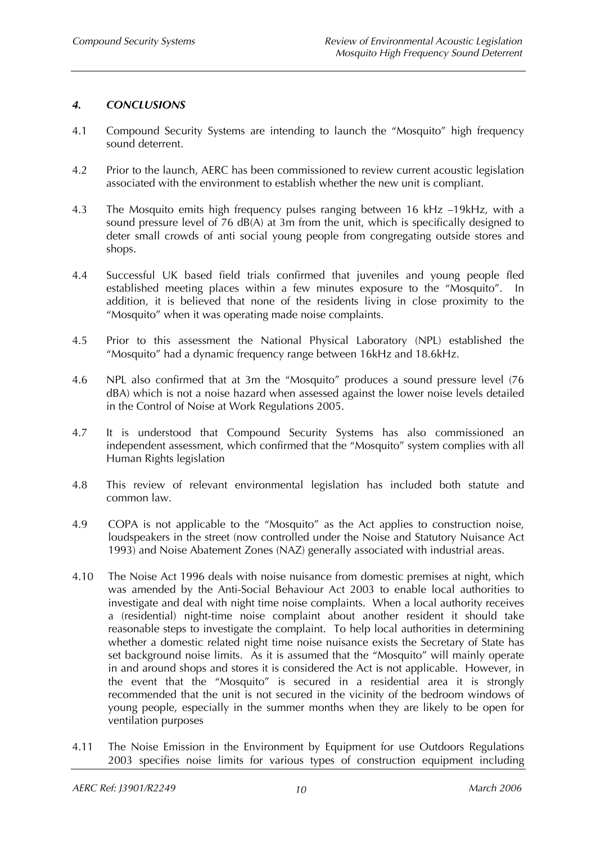# *4. CONCLUSIONS*

- 4.1 Compound Security Systems are intending to launch the "Mosquito" high frequency sound deterrent.
- 4.2 Prior to the launch, AERC has been commissioned to review current acoustic legislation associated with the environment to establish whether the new unit is compliant.
- 4.3 The Mosquito emits high frequency pulses ranging between 16 kHz –19kHz, with a sound pressure level of 76 dB(A) at 3m from the unit, which is specifically designed to deter small crowds of anti social young people from congregating outside stores and shops.
- 4.4 Successful UK based field trials confirmed that juveniles and young people fled established meeting places within a few minutes exposure to the "Mosquito". In addition, it is believed that none of the residents living in close proximity to the "Mosquito" when it was operating made noise complaints.
- 4.5 Prior to this assessment the National Physical Laboratory (NPL) established the "Mosquito" had a dynamic frequency range between 16kHz and 18.6kHz.
- 4.6 NPL also confirmed that at 3m the "Mosquito" produces a sound pressure level (76 dBA) which is not a noise hazard when assessed against the lower noise levels detailed in the Control of Noise at Work Regulations 2005.
- 4.7 It is understood that Compound Security Systems has also commissioned an independent assessment, which confirmed that the "Mosquito" system complies with all Human Rights legislation
- 4.8 This review of relevant environmental legislation has included both statute and common law.
- 4.9 COPA is not applicable to the "Mosquito" as the Act applies to construction noise, loudspeakers in the street (now controlled under the Noise and Statutory Nuisance Act 1993) and Noise Abatement Zones (NAZ) generally associated with industrial areas.
- 4.10 The Noise Act 1996 deals with noise nuisance from domestic premises at night, which was amended by the Anti-Social Behaviour Act 2003 to enable local authorities to investigate and deal with night time noise complaints. When a local authority receives a (residential) night-time noise complaint about another resident it should take reasonable steps to investigate the complaint. To help local authorities in determining whether a domestic related night time noise nuisance exists the Secretary of State has set background noise limits. As it is assumed that the "Mosquito" will mainly operate in and around shops and stores it is considered the Act is not applicable. However, in the event that the "Mosquito" is secured in a residential area it is strongly recommended that the unit is not secured in the vicinity of the bedroom windows of young people, especially in the summer months when they are likely to be open for ventilation purposes
- 4.11 The Noise Emission in the Environment by Equipment for use Outdoors Regulations 2003 specifies noise limits for various types of construction equipment including